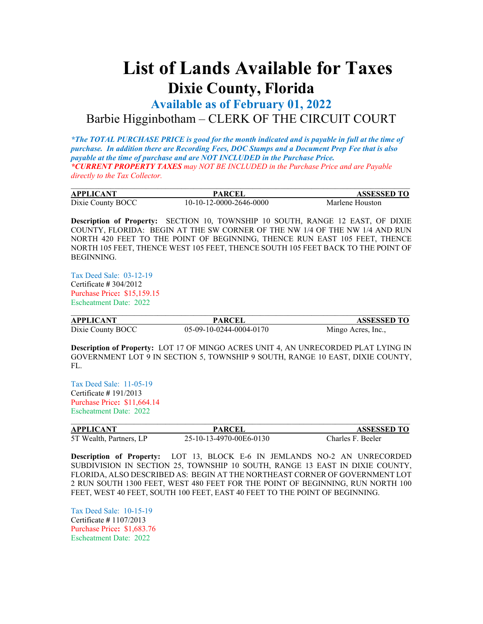## **List of Lands Available for Taxes Dixie County, Florida**

**Available as of February 01, 2022** Barbie Higginbotham – CLERK OF THE CIRCUIT COURT

*\*The TOTAL PURCHASE PRICE is good for the month indicated and is payable in full at the time of purchase. In addition there are Recording Fees, DOC Stamps and a Document Prep Fee that is also payable at the time of purchase and are NOT INCLUDED in the Purchase Price. \*CURRENT PROPERTY TAXES may NOT BE INCLUDED in the Purchase Price and are Payable directly to the Tax Collector.*

| <b>APPLICANT</b>  | PARCEI                  | <b>ASSESSED TO</b> |
|-------------------|-------------------------|--------------------|
| Dixie County BOCC | 10-10-12-0000-2646-0000 | Marlene Houston    |

**Description of Property:** SECTION 10, TOWNSHIP 10 SOUTH, RANGE 12 EAST, OF DIXIE COUNTY, FLORIDA: BEGIN AT THE SW CORNER OF THE NW 1/4 OF THE NW 1/4 AND RUN NORTH 420 FEET TO THE POINT OF BEGINNING, THENCE RUN EAST 105 FEET, THENCE NORTH 105 FEET, THENCE WEST 105 FEET, THENCE SOUTH 105 FEET BACK TO THE POINT OF BEGINNING.

Tax Deed Sale: 03-12-19 Certificate **#** 304/2012 Purchase Price**:** \$15,159.15 Escheatment Date: 2022

| APPLICANT         | PARCEI                  | <b>ASSESSED TO</b> |
|-------------------|-------------------------|--------------------|
| Dixie County BOCC | 05-09-10-0244-0004-0170 | Mingo Acres, Inc., |

**Description of Property:** LOT 17 OF MINGO ACRES UNIT 4, AN UNRECORDED PLAT LYING IN GOVERNMENT LOT 9 IN SECTION 5, TOWNSHIP 9 SOUTH, RANGE 10 EAST, DIXIE COUNTY, FL.

Tax Deed Sale: 11-05-19 Certificate **#** 191/2013 Purchase Price**:** \$11,664.14 Escheatment Date: 2022

| <b>APPLICANT</b>        | PARCEI                  | <b>ASSESSED TO</b> |
|-------------------------|-------------------------|--------------------|
| 5T Wealth, Partners, LP | 25-10-13-4970-00E6-0130 | Charles F. Beeler  |

**Description of Property:** LOT 13, BLOCK E-6 IN JEMLANDS NO-2 AN UNRECORDED SUBDIVISION IN SECTION 25, TOWNSHIP 10 SOUTH, RANGE 13 EAST IN DIXIE COUNTY, FLORIDA, ALSO DESCRIBED AS: BEGIN AT THE NORTHEAST CORNER OF GOVERNMENT LOT 2 RUN SOUTH 1300 FEET, WEST 480 FEET FOR THE POINT OF BEGINNING, RUN NORTH 100 FEET, WEST 40 FEET, SOUTH 100 FEET, EAST 40 FEET TO THE POINT OF BEGINNING.

Tax Deed Sale: 10-15-19 Certificate **#** 1107/2013 Purchase Price**:** \$1,683.76 Escheatment Date: 2022